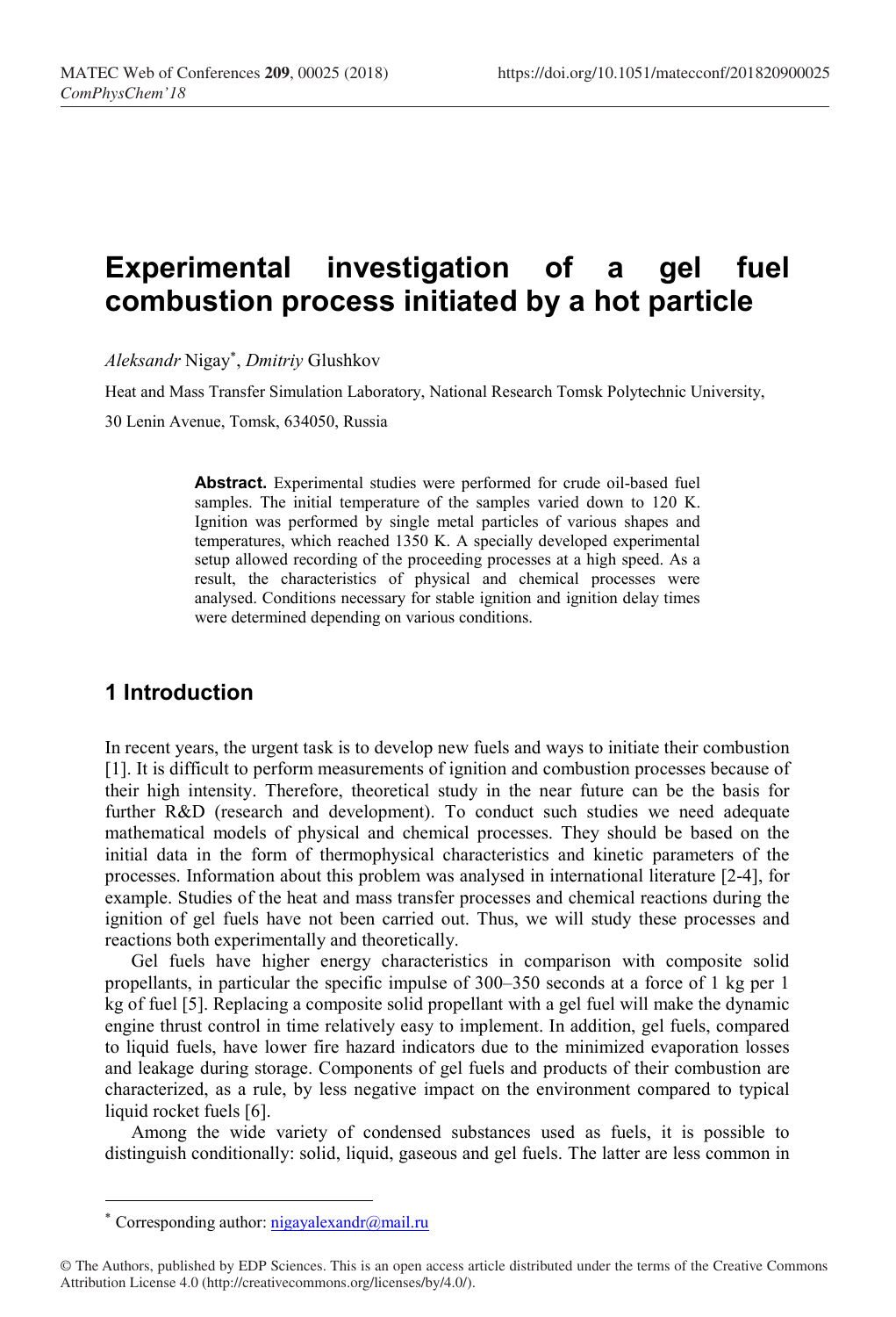# Experimental investigation of a gel fuel combustion process initiated by a hot particle

Aleksandr Nigay\* , Dmitriy Glushkov

Heat and Mass Transfer Simulation Laboratory, National Research Tomsk Polytechnic University, 30 Lenin Avenue, Tomsk, 634050, Russia

> Abstract. Experimental studies were performed for crude oil-based fuel samples. The initial temperature of the samples varied down to 120 K. Ignition was performed by single metal particles of various shapes and temperatures, which reached 1350 K. A specially developed experimental setup allowed recording of the proceeding processes at a high speed. As a result, the characteristics of physical and chemical processes were analysed. Conditions necessary for stable ignition and ignition delay times were determined depending on various conditions.

# 1 Introduction

In recent years, the urgent task is to develop new fuels and ways to initiate their combustion [1]. It is difficult to perform measurements of ignition and combustion processes because of their high intensity. Therefore, theoretical study in the near future can be the basis for further R&D (research and development). To conduct such studies we need adequate mathematical models of physical and chemical processes. They should be based on the initial data in the form of thermophysical characteristics and kinetic parameters of the processes. Information about this problem was analysed in international literature [2-4], for example. Studies of the heat and mass transfer processes and chemical reactions during the ignition of gel fuels have not been carried out. Thus, we will study these processes and reactions both experimentally and theoretically.

Gel fuels have higher energy characteristics in comparison with composite solid propellants, in particular the specific impulse of 300–350 seconds at a force of 1 kg per 1 kg of fuel [5]. Replacing a composite solid propellant with a gel fuel will make the dynamic engine thrust control in time relatively easy to implement. In addition, gel fuels, compared to liquid fuels, have lower fire hazard indicators due to the minimized evaporation losses and leakage during storage. Components of gel fuels and products of their combustion are characterized, as a rule, by less negative impact on the environment compared to typical liquid rocket fuels [6].

Among the wide variety of condensed substances used as fuels, it is possible to distinguish conditionally: solid, liquid, gaseous and gel fuels. The latter are less common in

-

<sup>\*</sup> Corresponding author:  $\frac{nigayalexandr(\omega_{mail}r)}{nigayalexandr(\omega_{mail}r)}$ 

<sup>©</sup> The Authors, published by EDP Sciences. This is an open access article distributed under the terms of the Creative Commons Attribution License 4.0 (http://creativecommons.org/licenses/by/4.0/).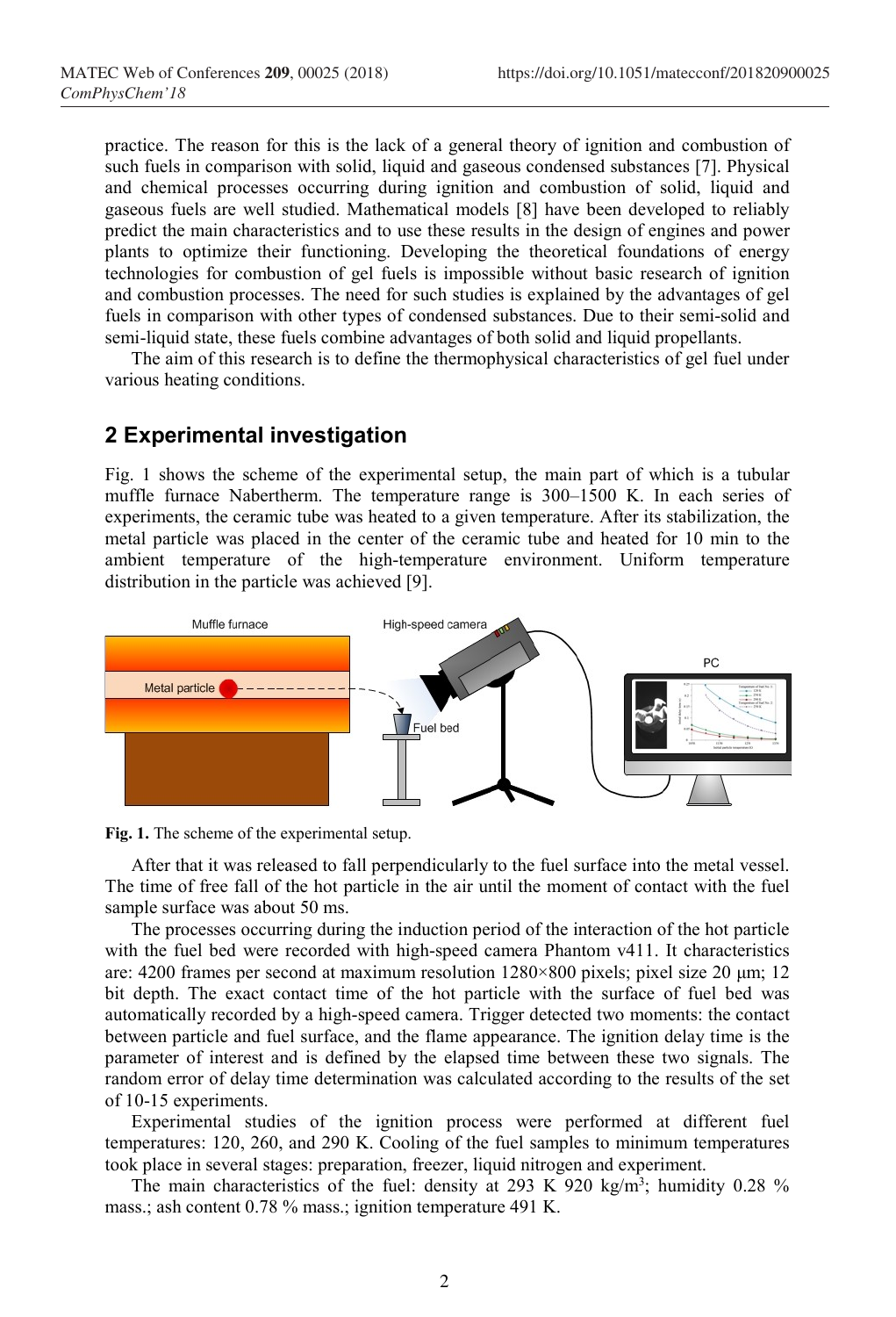practice. The reason for this is the lack of a general theory of ignition and combustion of such fuels in comparison with solid, liquid and gaseous condensed substances [7]. Physical and chemical processes occurring during ignition and combustion of solid, liquid and gaseous fuels are well studied. Mathematical models [8] have been developed to reliably predict the main characteristics and to use these results in the design of engines and power plants to optimize their functioning. Developing the theoretical foundations of energy technologies for combustion of gel fuels is impossible without basic research of ignition and combustion processes. The need for such studies is explained by the advantages of gel fuels in comparison with other types of condensed substances. Due to their semi-solid and semi-liquid state, these fuels combine advantages of both solid and liquid propellants.

The aim of this research is to define the thermophysical characteristics of gel fuel under various heating conditions.

## 2 Experimental investigation

Fig. 1 shows the scheme of the experimental setup, the main part of which is a tubular muffle furnace Nabertherm. The temperature range is 300–1500 K. In each series of experiments, the ceramic tube was heated to a given temperature. After its stabilization, the metal particle was placed in the center of the ceramic tube and heated for 10 min to the ambient temperature of the high-temperature environment. Uniform temperature distribution in the particle was achieved [9].





After that it was released to fall perpendicularly to the fuel surface into the metal vessel. The time of free fall of the hot particle in the air until the moment of contact with the fuel sample surface was about 50 ms.

The processes occurring during the induction period of the interaction of the hot particle with the fuel bed were recorded with high-speed camera Phantom v411. It characteristics are: 4200 frames per second at maximum resolution 1280×800 pixels; pixel size 20 μm; 12 bit depth. The exact contact time of the hot particle with the surface of fuel bed was automatically recorded by a high-speed camera. Trigger detected two moments: the contact between particle and fuel surface, and the flame appearance. The ignition delay time is the parameter of interest and is defined by the elapsed time between these two signals. The random error of delay time determination was calculated according to the results of the set of 10-15 experiments.

Experimental studies of the ignition process were performed at different fuel temperatures: 120, 260, and 290 K. Cooling of the fuel samples to minimum temperatures took place in several stages: preparation, freezer, liquid nitrogen and experiment.

The main characteristics of the fuel: density at 293 K 920 kg/m<sup>3</sup>; humidity 0.28 % mass.; ash content 0.78 % mass.; ignition temperature 491 K.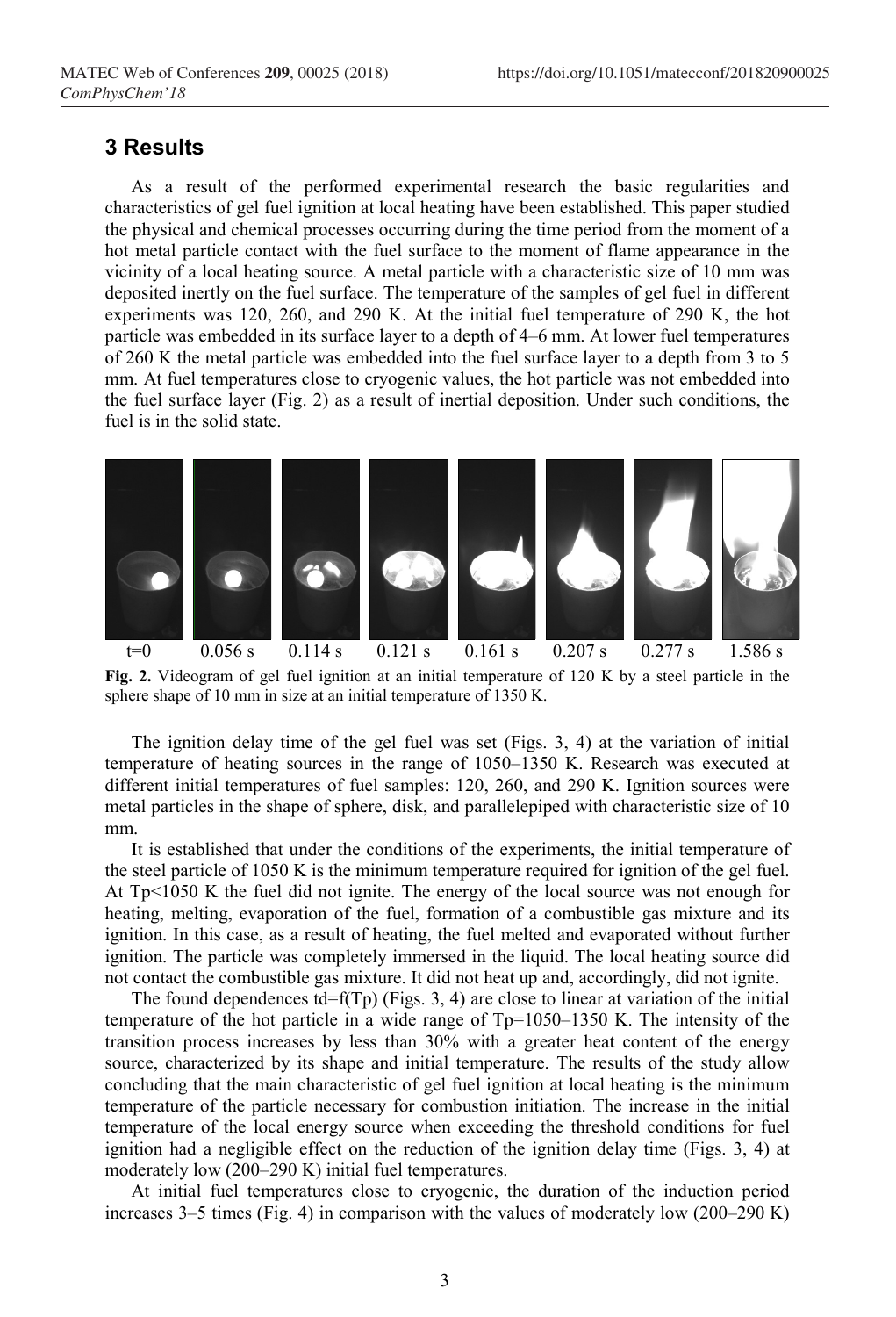#### 3 Results

As a result of the performed experimental research the basic regularities and characteristics of gel fuel ignition at local heating have been established. This paper studied the physical and chemical processes occurring during the time period from the moment of a hot metal particle contact with the fuel surface to the moment of flame appearance in the vicinity of a local heating source. A metal particle with a characteristic size of 10 mm was deposited inertly on the fuel surface. The temperature of the samples of gel fuel in different experiments was 120, 260, and 290 K. At the initial fuel temperature of 290 K, the hot particle was embedded in its surface layer to a depth of 4–6 mm. At lower fuel temperatures of 260 K the metal particle was embedded into the fuel surface layer to a depth from 3 to 5 mm. At fuel temperatures close to cryogenic values, the hot particle was not embedded into the fuel surface layer (Fig. 2) as a result of inertial deposition. Under such conditions, the fuel is in the solid state.



Fig. 2. Videogram of gel fuel ignition at an initial temperature of 120 K by a steel particle in the sphere shape of 10 mm in size at an initial temperature of 1350 K.

The ignition delay time of the gel fuel was set (Figs. 3, 4) at the variation of initial temperature of heating sources in the range of 1050–1350 K. Research was executed at different initial temperatures of fuel samples: 120, 260, and 290 K. Ignition sources were metal particles in the shape of sphere, disk, and parallelepiped with characteristic size of 10 mm.

It is established that under the conditions of the experiments, the initial temperature of the steel particle of 1050 K is the minimum temperature required for ignition of the gel fuel. At Tp<1050 K the fuel did not ignite. The energy of the local source was not enough for heating, melting, evaporation of the fuel, formation of a combustible gas mixture and its ignition. In this case, as a result of heating, the fuel melted and evaporated without further ignition. The particle was completely immersed in the liquid. The local heating source did not contact the combustible gas mixture. It did not heat up and, accordingly, did not ignite.

The found dependences  $td=f(Tp)$  (Figs. 3, 4) are close to linear at variation of the initial temperature of the hot particle in a wide range of Tp=1050–1350 K. The intensity of the transition process increases by less than 30% with a greater heat content of the energy source, characterized by its shape and initial temperature. The results of the study allow concluding that the main characteristic of gel fuel ignition at local heating is the minimum temperature of the particle necessary for combustion initiation. The increase in the initial temperature of the local energy source when exceeding the threshold conditions for fuel ignition had a negligible effect on the reduction of the ignition delay time (Figs. 3, 4) at moderately low (200–290 K) initial fuel temperatures.

At initial fuel temperatures close to cryogenic, the duration of the induction period increases 3–5 times (Fig. 4) in comparison with the values of moderately low (200–290 K)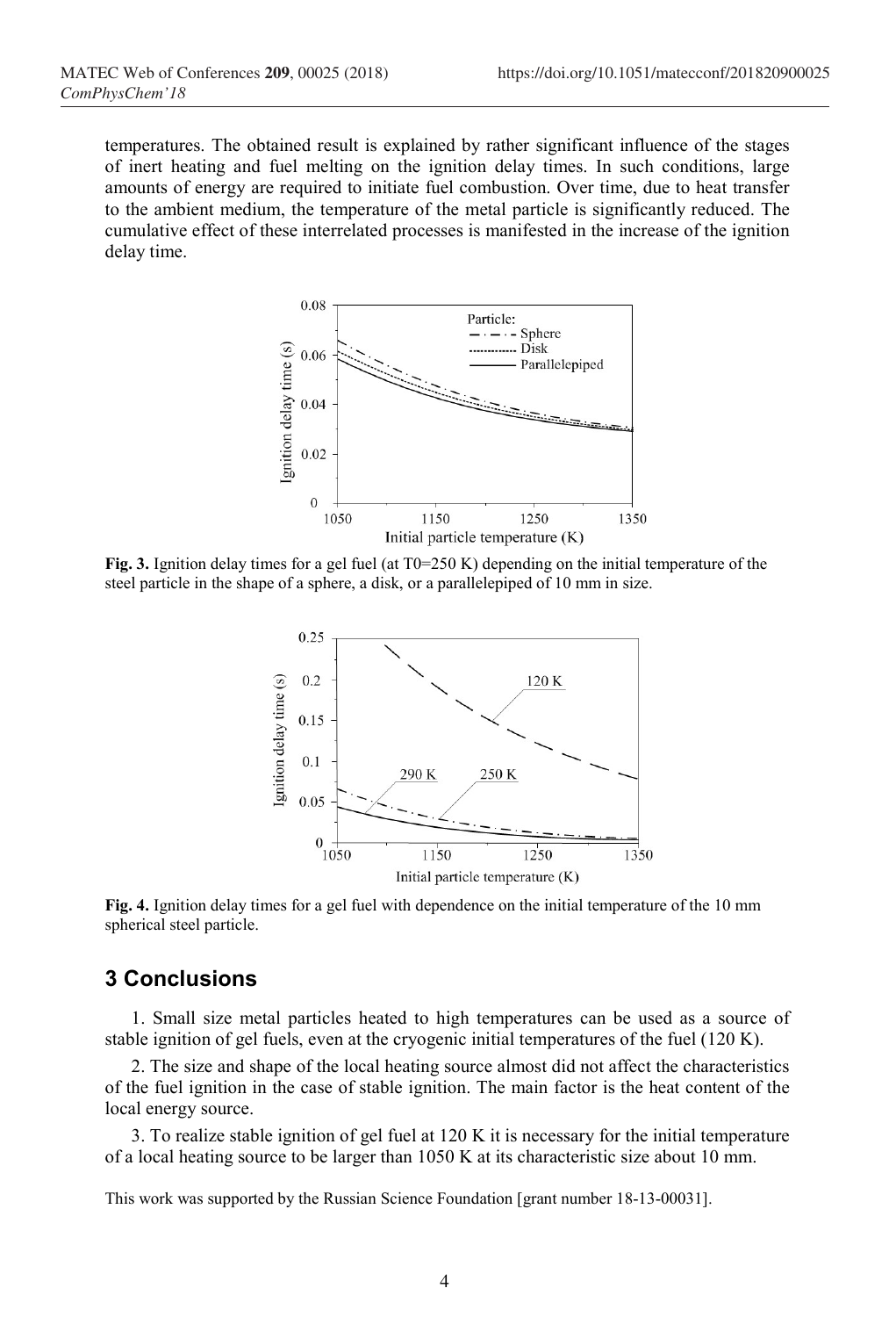temperatures. The obtained result is explained by rather significant influence of the stages of inert heating and fuel melting on the ignition delay times. In such conditions, large amounts of energy are required to initiate fuel combustion. Over time, due to heat transfer to the ambient medium, the temperature of the metal particle is significantly reduced. The cumulative effect of these interrelated processes is manifested in the increase of the ignition delay time.



Fig. 3. Ignition delay times for a gel fuel (at  $T0=250$  K) depending on the initial temperature of the steel particle in the shape of a sphere, a disk, or a parallelepiped of 10 mm in size.



Fig. 4. Ignition delay times for a gel fuel with dependence on the initial temperature of the 10 mm spherical steel particle.

### 3 Conclusions

1. Small size metal particles heated to high temperatures can be used as a source of stable ignition of gel fuels, even at the cryogenic initial temperatures of the fuel (120 K).

2. The size and shape of the local heating source almost did not affect the characteristics of the fuel ignition in the case of stable ignition. The main factor is the heat content of the local energy source.

3. To realize stable ignition of gel fuel at 120 K it is necessary for the initial temperature of a local heating source to be larger than 1050 K at its characteristic size about 10 mm.

This work was supported by the Russian Science Foundation [grant number 18-13-00031].